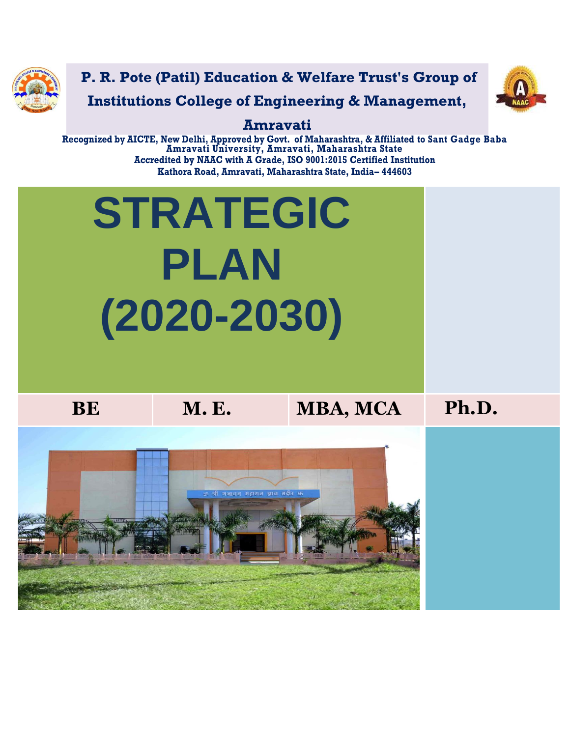

**P. R. Pote (Patil) Education & Welfare Trust's Group of Institutions College of Engineering & Management,** 



### **Amravati**

**Recognized by AICTE, New Delhi, Approved by Govt. of Maharashtra, & Affiliated to Sant Gadge Baba Amravati University, Amravati, Maharashtra State Accredited by NAAC with A Grade, ISO 9001:2015 Certified Institution Kathora Road, Amravati, Maharashtra State, India– 444603**

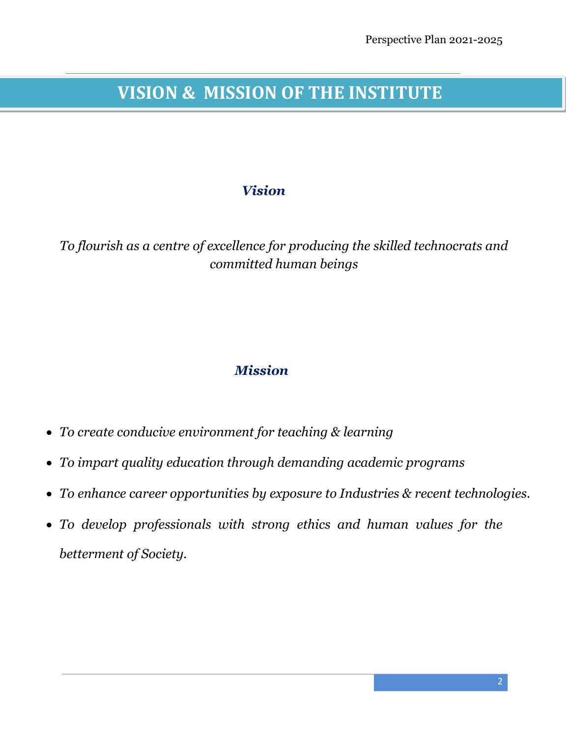# **VISION & MISSION OF THE INSTITUTE**

### *Vision*

*To flourish as a centre of excellence for producing the skilled technocrats and committed human beings*

### *Mission*

- *To create conducive environment for teaching & learning*
- *To impart quality education through demanding academic programs*
- *To enhance career opportunities by exposure to Industries & recent technologies.*
- *To develop professionals with strong ethics and human values for the betterment of Society.*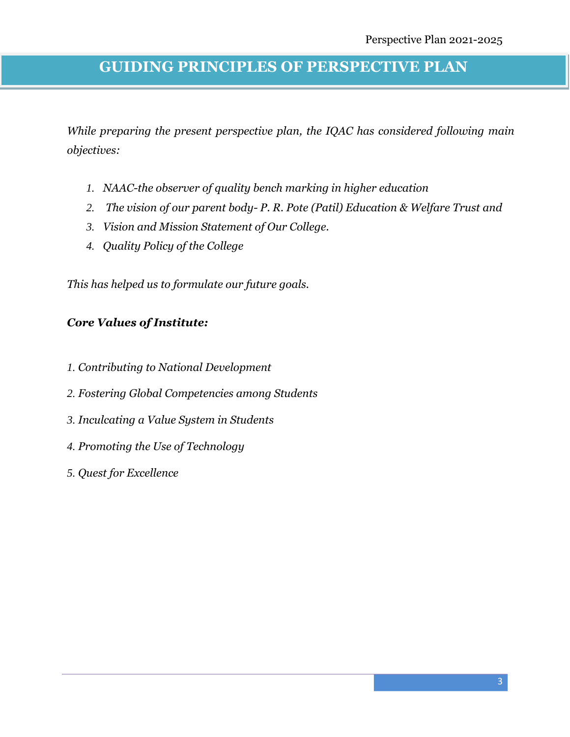## **GUIDING PRINCIPLES OF PERSPECTIVE PLAN**

*While preparing the present perspective plan, the IQAC has considered following main objectives:*

- *1. NAAC-the observer of quality bench marking in higher education*
- *2. The vision of our parent body- P. R. Pote (Patil) Education & Welfare Trust and*
- *3. Vision and Mission Statement of Our College.*
- *4. Quality Policy of the College*

*This has helped us to formulate our future goals.*

### *Core Values of Institute:*

- *1. Contributing to National Development*
- *2. Fostering Global Competencies among Students*
- *3. Inculcating a Value System in Students*
- *4. Promoting the Use of Technology*
- *5. Quest for Excellence*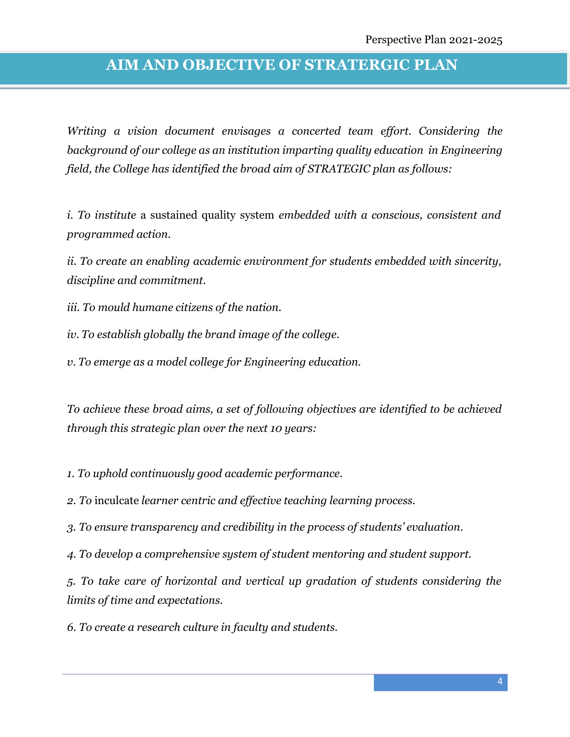## **AIM AND OBJECTIVE OF STRATERGIC PLAN**

*Writing a vision document envisages a concerted team effort. Considering the background of our college as an institution imparting quality education in Engineering field, the College has identified the broad aim of STRATEGIC plan as follows:*

*i. To institute* a sustained quality system *embedded with a conscious, consistent and programmed action.*

*ii. To create an enabling academic environment for students embedded with sincerity, discipline and commitment.*

*iii. To mould humane citizens of the nation.*

*iv. To establish globally the brand image of the college.*

*v. To emerge as a model college for Engineering education.*

*To achieve these broad aims, a set of following objectives are identified to be achieved through this strategic plan over the next 10 years:*

*1. To uphold continuously good academic performance.*

*2. To* inculcate *learner centric and effective teaching learning process.*

*3. To ensure transparency and credibility in the process of students' evaluation*.

*4. To develop a comprehensive system of student mentoring and student support.*

*5. To take care of horizontal and vertical up gradation of students considering the limits of time and expectations.*

*6. To create a research culture in faculty and students.*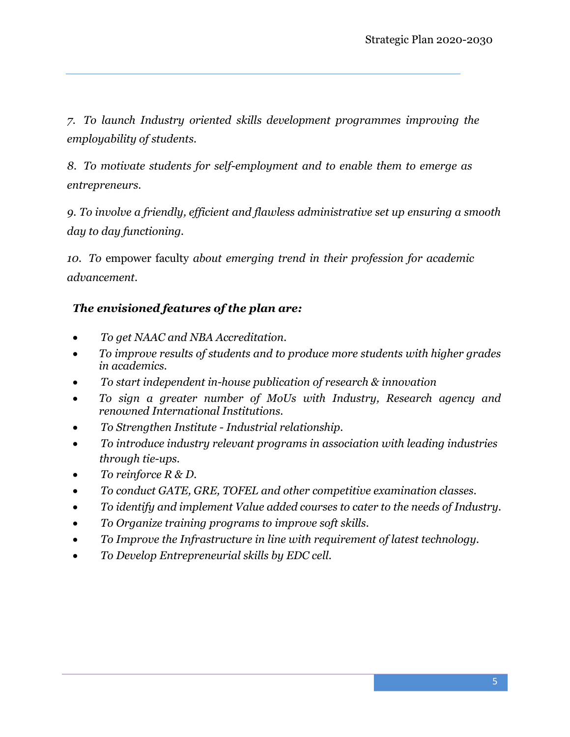*7. To launch Industry oriented skills development programmes improving the employability of students.*

*8. To motivate students for self-employment and to enable them to emerge as entrepreneurs.*

*9. To involve a friendly, efficient and flawless administrative set up ensuring a smooth day to day functioning.*

*10. To* empower faculty *about emerging trend in their profession for academic advancement.*

#### *The envisioned features of the plan are:*

- *To get NAAC and NBA Accreditation.*
- *To improve results of students and to produce more students with higher grades in academics.*
- *To start independent in-house publication of research & innovation*
- *To sign a greater number of MoUs with Industry, Research agency and renowned International Institutions.*
- *To Strengthen Institute - Industrial relationship.*
- *To introduce industry relevant programs in association with leading industries through tie-ups.*
- *To reinforce R & D.*
- *To conduct GATE, GRE, TOFEL and other competitive examination classes.*
- *To identify and implement Value added courses to cater to the needs of Industry.*
- *To Organize training programs to improve soft skills.*
- *To Improve the Infrastructure in line with requirement of latest technology.*
- *To Develop Entrepreneurial skills by EDC cell.*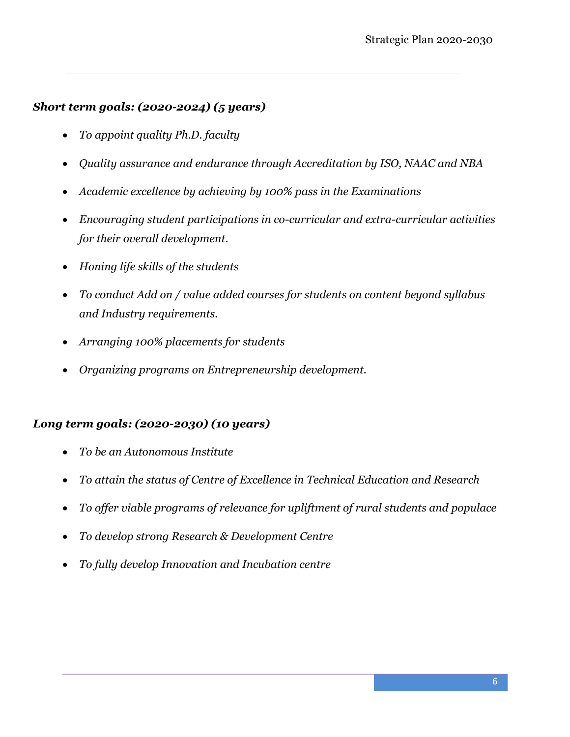#### *Short term goals: (2020-2024) (5 years)*

- *To appoint quality Ph.D. faculty*
- *Quality assurance and endurance through Accreditation by ISO, NAAC and NBA*
- *Academic excellence by achieving by 100% pass in the Examinations*
- *Encouraging student participations in co-curricular and extra-curricular activities for their overall development.*
- *Honing life skills of the students*
- *To conduct Add on / value added courses for students on content beyond syllabus and Industry requirements.*
- *Arranging 100% placements for students*
- *Organizing programs on Entrepreneurship development.*

### *Long term goals: (2020-2030) (10 years)*

- *To be an Autonomous Institute*
- *To attain the status of Centre of Excellence in Technical Education and Research*
- *To offer viable programs of relevance for upliftment of rural students and populace*
- *To develop strong Research & Development Centre*
- *To fully develop Innovation and Incubation centre*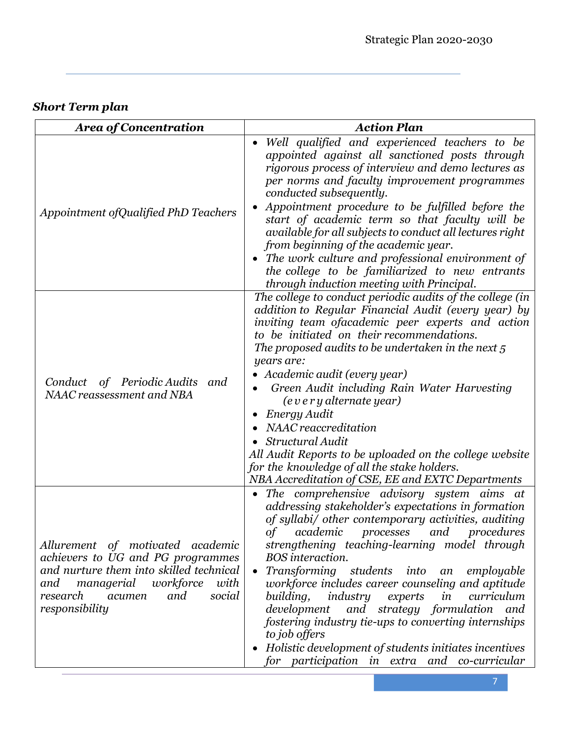## *Short Term plan*

| <b>Area of Concentration</b>                                                                                                                                                                                        | <b>Action Plan</b>                                                                                                                                                                                                                                                                                                                                                                                                                                                                                                                                                                                                                                                                              |
|---------------------------------------------------------------------------------------------------------------------------------------------------------------------------------------------------------------------|-------------------------------------------------------------------------------------------------------------------------------------------------------------------------------------------------------------------------------------------------------------------------------------------------------------------------------------------------------------------------------------------------------------------------------------------------------------------------------------------------------------------------------------------------------------------------------------------------------------------------------------------------------------------------------------------------|
| Appointment of Qualified PhD Teachers                                                                                                                                                                               | Well qualified and experienced teachers to be<br>appointed against all sanctioned posts through<br>rigorous process of interview and demo lectures as<br>per norms and faculty improvement programmes<br>conducted subsequently.<br>Appointment procedure to be fulfilled before the<br>start of academic term so that faculty will be<br>available for all subjects to conduct all lectures right<br>from beginning of the academic year.<br>The work culture and professional environment of<br>the college to be familiarized to new entrants<br>through induction meeting with Principal.                                                                                                   |
| Conduct of Periodic Audits<br>and<br>NAAC reassessment and NBA                                                                                                                                                      | The college to conduct periodic audits of the college (in<br>addition to Regular Financial Audit (every year) by<br>inviting team ofacademic peer experts and action<br>to be initiated on their recommendations.<br>The proposed audits to be undertaken in the next $5$<br>years are:<br>• Academic audit (every year)<br>Green Audit including Rain Water Harvesting<br>(every alternate year)<br>Energy Audit<br>NAAC reaccreditation<br>Structural Audit<br>All Audit Reports to be uploaded on the college website<br>for the knowledge of all the stake holders.<br>NBA Accreditation of CSE, EE and EXTC Departments                                                                    |
| Allurement of motivated academic<br>achievers to UG and PG programmes<br>and nurture them into skilled technical<br>managerial<br>workforce<br>with<br>and<br>research<br>and<br>social<br>acumen<br>responsibility | The comprehensive advisory system aims at<br>addressing stakeholder's expectations in formation<br>of syllabi/ other contemporary activities, auditing<br>$\sigma f$<br>academic<br>and<br>procedures<br>processes<br>strengthening teaching-learning model through<br>BOS interaction.<br>Transforming students into an<br>employable<br>$\bullet$<br>workforce includes career counseling and aptitude<br>building,<br><i>industry experts in</i><br>curriculum<br>development and strategy formulation and<br>fostering industry tie-ups to converting internships<br>to job offers<br>Holistic development of students initiates incentives<br>for participation in extra and co-curricular |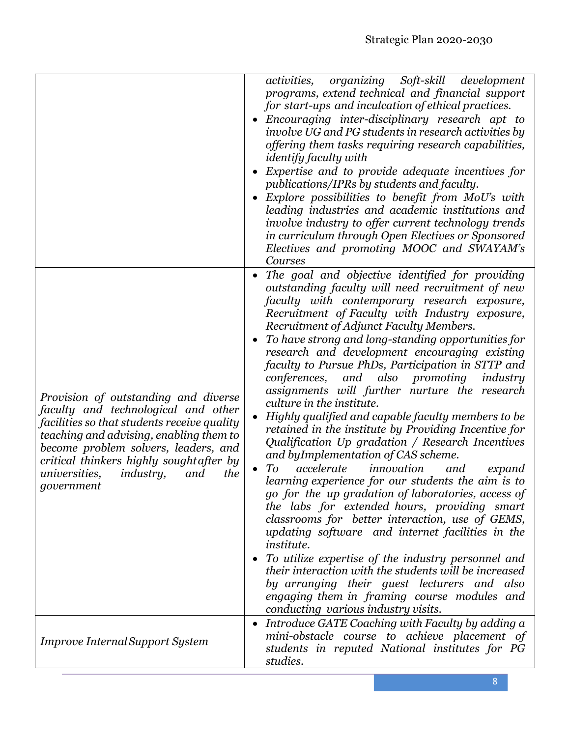|                                                                                                                                                                                                                                                                                                                                   | activities, organizing Soft-skill development<br>programs, extend technical and financial support<br>for start-ups and inculcation of ethical practices.<br>Encouraging inter-disciplinary research apt to<br>involve UG and PG students in research activities by<br>offering them tasks requiring research capabilities,<br><i>identify faculty with</i><br>Expertise and to provide adequate incentives for<br>publications/IPRs by students and faculty.<br>Explore possibilities to benefit from MoU's with<br>leading industries and academic institutions and<br>involve industry to offer current technology trends<br>in curriculum through Open Electives or Sponsored<br>Electives and promoting MOOC and SWAYAM's<br>Courses                                                                                                                                                                                                                                                                                                                                                                                                                                                                                                                                                                                                                              |
|-----------------------------------------------------------------------------------------------------------------------------------------------------------------------------------------------------------------------------------------------------------------------------------------------------------------------------------|-----------------------------------------------------------------------------------------------------------------------------------------------------------------------------------------------------------------------------------------------------------------------------------------------------------------------------------------------------------------------------------------------------------------------------------------------------------------------------------------------------------------------------------------------------------------------------------------------------------------------------------------------------------------------------------------------------------------------------------------------------------------------------------------------------------------------------------------------------------------------------------------------------------------------------------------------------------------------------------------------------------------------------------------------------------------------------------------------------------------------------------------------------------------------------------------------------------------------------------------------------------------------------------------------------------------------------------------------------------------------|
| Provision of outstanding and diverse<br>faculty and technological and other<br>facilities so that students receive quality<br>teaching and advising, enabling them to<br>become problem solvers, leaders, and<br>critical thinkers highly sought after by<br><i>universities,</i><br><i>industry,</i><br>the<br>and<br>government | The goal and objective identified for providing<br>outstanding faculty will need recruitment of new<br>faculty with contemporary research exposure,<br>Recruitment of Faculty with Industry exposure,<br>Recruitment of Adjunct Faculty Members.<br>To have strong and long-standing opportunities for<br>$\bullet$<br>research and development encouraging existing<br>faculty to Pursue PhDs, Participation in STTP and<br>conferences,<br>and also<br>promoting<br>industry<br>assignments will further nurture the research<br>culture in the institute.<br>Highly qualified and capable faculty members to be<br>retained in the institute by Providing Incentive for<br>Qualification Up gradation / Research Incentives<br>and by Implementation of CAS scheme.<br>accelerate<br>innovation<br>To<br>and<br>expand<br>learning experience for our students the aim is to<br>go for the up gradation of laboratories, access of<br>the labs for extended hours, providing smart<br>classrooms for better interaction, use of GEMS,<br>updating software and internet facilities in the<br><i>institute.</i><br>To utilize expertise of the industry personnel and<br>their interaction with the students will be increased<br>by arranging their guest lecturers and also<br>engaging them in framing course modules and<br>conducting various industry visits. |
| <b>Improve Internal Support System</b>                                                                                                                                                                                                                                                                                            | Introduce GATE Coaching with Faculty by adding a<br>mini-obstacle course to achieve placement of<br>students in reputed National institutes for PG<br>studies.                                                                                                                                                                                                                                                                                                                                                                                                                                                                                                                                                                                                                                                                                                                                                                                                                                                                                                                                                                                                                                                                                                                                                                                                        |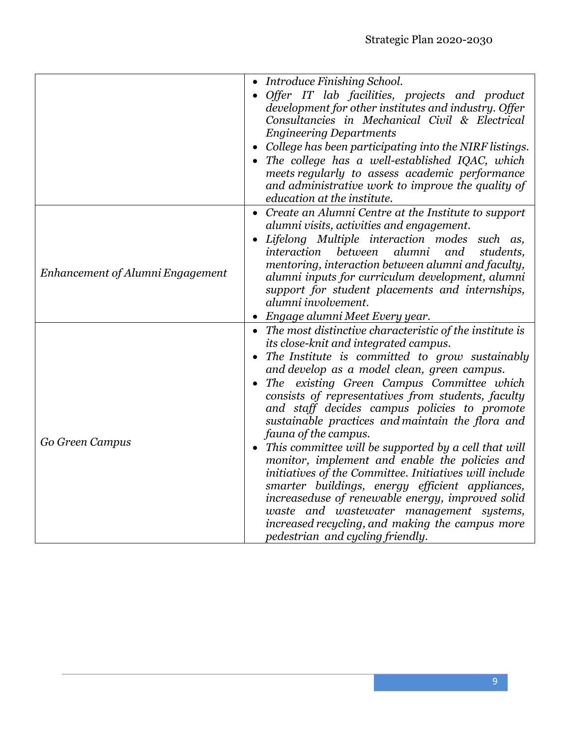|                                  | • Introduce Finishing School.                                                                   |
|----------------------------------|-------------------------------------------------------------------------------------------------|
|                                  | Offer IT lab facilities, projects and product                                                   |
|                                  | development for other institutes and industry. Offer                                            |
|                                  | Consultancies in Mechanical Civil & Electrical                                                  |
|                                  | <b>Engineering Departments</b>                                                                  |
|                                  | • College has been participating into the NIRF listings.                                        |
|                                  | The college has a well-established IQAC, which                                                  |
|                                  | meets regularly to assess academic performance                                                  |
|                                  | and administrative work to improve the quality of                                               |
|                                  | education at the institute.                                                                     |
|                                  | Create an Alumni Centre at the Institute to support                                             |
|                                  | alumni visits, activities and engagement.                                                       |
|                                  | Lifelong Multiple interaction modes such as,                                                    |
|                                  | interaction between<br>alumni<br>and<br>students.                                               |
| Enhancement of Alumni Engagement | mentoring, interaction between alumni and faculty,                                              |
|                                  | alumni inputs for curriculum development, alumni                                                |
|                                  | support for student placements and internships,                                                 |
|                                  | alumni involvement.                                                                             |
|                                  | Engage alumni Meet Every year.                                                                  |
|                                  | • The most distinctive characteristic of the institute is                                       |
|                                  | its close-knit and integrated campus.                                                           |
|                                  | The Institute is committed to grow sustainably                                                  |
|                                  | and develop as a model clean, green campus.                                                     |
| Go Green Campus                  | The existing Green Campus Committee which<br>consists of representatives from students, faculty |
|                                  | and staff decides campus policies to promote                                                    |
|                                  | sustainable practices and maintain the flora and                                                |
|                                  | fauna of the campus.                                                                            |
|                                  | • This committee will be supported by a cell that will                                          |
|                                  | monitor, implement and enable the policies and                                                  |
|                                  | initiatives of the Committee. Initiatives will include                                          |
|                                  | smarter buildings, energy efficient appliances,                                                 |
|                                  | increaseduse of renewable energy, improved solid                                                |
|                                  | waste and wastewater management systems,                                                        |
|                                  | increased recycling, and making the campus more                                                 |
|                                  | pedestrian and cycling friendly.                                                                |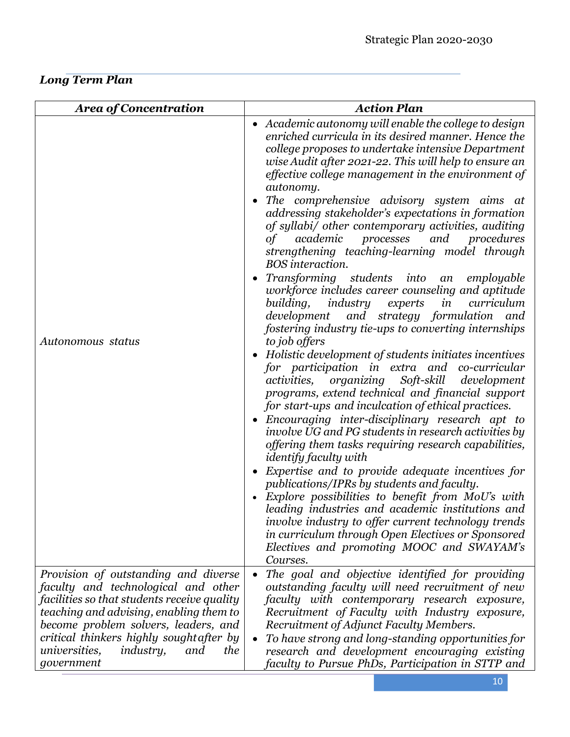*Long Term Plan* 

| <b>Area of Concentration</b>                                                                                                                                                                                                                                                              | <b>Action Plan</b>                                                                                                                                                                                                                                                                                                                                                                                                                                                                                                                                                                                                                                                                                                                                                                                                                                                                                                                                                                                                                                                                                                                                                                                                                                                                                                                                                                                                                                                                                                                                                                                                                                                                                                  |
|-------------------------------------------------------------------------------------------------------------------------------------------------------------------------------------------------------------------------------------------------------------------------------------------|---------------------------------------------------------------------------------------------------------------------------------------------------------------------------------------------------------------------------------------------------------------------------------------------------------------------------------------------------------------------------------------------------------------------------------------------------------------------------------------------------------------------------------------------------------------------------------------------------------------------------------------------------------------------------------------------------------------------------------------------------------------------------------------------------------------------------------------------------------------------------------------------------------------------------------------------------------------------------------------------------------------------------------------------------------------------------------------------------------------------------------------------------------------------------------------------------------------------------------------------------------------------------------------------------------------------------------------------------------------------------------------------------------------------------------------------------------------------------------------------------------------------------------------------------------------------------------------------------------------------------------------------------------------------------------------------------------------------|
| Autonomous status                                                                                                                                                                                                                                                                         | • Academic autonomy will enable the college to design<br>enriched curricula in its desired manner. Hence the<br>college proposes to undertake intensive Department<br>wise Audit after 2021-22. This will help to ensure an<br>effective college management in the environment of<br>autonomy.<br>The comprehensive advisory system aims at<br>addressing stakeholder's expectations in formation<br>of syllabi/ other contemporary activities, auditing<br>academic<br>processes and<br>procedures<br>of<br>strengthening teaching-learning model through<br>BOS interaction.<br>Transforming students into<br>employable<br>an<br>workforce includes career counseling and aptitude<br>industry<br>in<br>curriculum<br>building,<br>experts<br>development and strategy formulation<br>and<br>fostering industry tie-ups to converting internships<br>to job offers<br>• Holistic development of students initiates incentives<br>for participation in extra and co-curricular<br>activities, organizing Soft-skill development<br>programs, extend technical and financial support<br>for start-ups and inculcation of ethical practices.<br>• Encouraging inter-disciplinary research apt to<br>involve UG and PG students in research activities by<br>offering them tasks requiring research capabilities,<br><i>identify faculty with</i><br>Expertise and to provide adequate incentives for<br>publications/IPRs by students and faculty.<br>Explore possibilities to benefit from MoU's with<br>leading industries and academic institutions and<br>involve industry to offer current technology trends<br>in curriculum through Open Electives or Sponsored<br>Electives and promoting MOOC and SWAYAM's |
| Provision of outstanding and diverse                                                                                                                                                                                                                                                      | Courses.<br>The goal and objective identified for providing<br>$\bullet$                                                                                                                                                                                                                                                                                                                                                                                                                                                                                                                                                                                                                                                                                                                                                                                                                                                                                                                                                                                                                                                                                                                                                                                                                                                                                                                                                                                                                                                                                                                                                                                                                                            |
| faculty and technological and other<br>facilities so that students receive quality<br>teaching and advising, enabling them to<br>become problem solvers, leaders, and<br>critical thinkers highly sought after by<br><i>industry,</i><br><i>universities,</i><br>and<br>the<br>government | outstanding faculty will need recruitment of new<br>faculty with contemporary research exposure,<br>Recruitment of Faculty with Industry exposure,<br>Recruitment of Adjunct Faculty Members.<br>To have strong and long-standing opportunities for<br>research and development encouraging existing<br>faculty to Pursue PhDs, Participation in STTP and                                                                                                                                                                                                                                                                                                                                                                                                                                                                                                                                                                                                                                                                                                                                                                                                                                                                                                                                                                                                                                                                                                                                                                                                                                                                                                                                                           |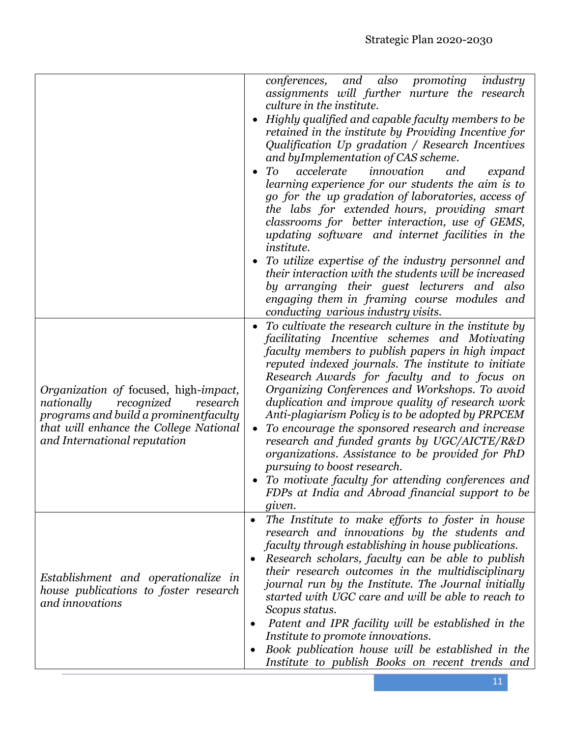|                                                                                                                                                                                                  | and also<br>conferences,<br>promoting<br>industry<br>assignments will further nurture the research<br>culture in the institute.<br>Highly qualified and capable faculty members to be<br>retained in the institute by Providing Incentive for<br>Qualification Up gradation / Research Incentives<br>and byImplementation of CAS scheme.<br>To<br>accelerate<br>innovation<br>and<br>expand<br>learning experience for our students the aim is to<br>go for the up gradation of laboratories, access of<br>the labs for extended hours, providing smart<br>classrooms for better interaction, use of GEMS,<br>updating software and internet facilities in the<br><i>institute.</i><br>To utilize expertise of the industry personnel and<br>their interaction with the students will be increased<br>by arranging their guest lecturers and<br>also<br>engaging them in framing course modules and<br>conducting various industry visits. |
|--------------------------------------------------------------------------------------------------------------------------------------------------------------------------------------------------|--------------------------------------------------------------------------------------------------------------------------------------------------------------------------------------------------------------------------------------------------------------------------------------------------------------------------------------------------------------------------------------------------------------------------------------------------------------------------------------------------------------------------------------------------------------------------------------------------------------------------------------------------------------------------------------------------------------------------------------------------------------------------------------------------------------------------------------------------------------------------------------------------------------------------------------------|
| Organization of focused, high-impact,<br>nationally<br>recognized<br>research<br>programs and build a prominentfaculty<br>that will enhance the College National<br>and International reputation | To cultivate the research culture in the institute by<br>facilitating Incentive schemes and Motivating<br>faculty members to publish papers in high impact<br>reputed indexed journals. The institute to initiate<br>Research Awards for faculty and to focus on<br>Organizing Conferences and Workshops. To avoid<br>duplication and improve quality of research work<br>Anti-plagiarism Policy is to be adopted by PRPCEM<br>To encourage the sponsored research and increase<br>$\bullet$<br>research and funded grants by UGC/AICTE/R&D<br>organizations. Assistance to be provided for PhD<br>pursuing to boost research.<br>To motivate faculty for attending conferences and<br>FDPs at India and Abroad financial support to be<br>given.                                                                                                                                                                                          |
| Establishment and operationalize in<br>house publications to foster research<br>and innovations                                                                                                  | The Institute to make efforts to foster in house<br>$\bullet$<br>research and innovations by the students and<br>faculty through establishing in house publications.<br>Research scholars, faculty can be able to publish<br>their research outcomes in the multidisciplinary<br>journal run by the Institute. The Journal initially<br>started with UGC care and will be able to reach to<br>Scopus status.<br>Patent and IPR facility will be established in the<br>$\bullet$<br>Institute to promote innovations.<br>Book publication house will be established in the<br>Institute to publish Books on recent trends and                                                                                                                                                                                                                                                                                                               |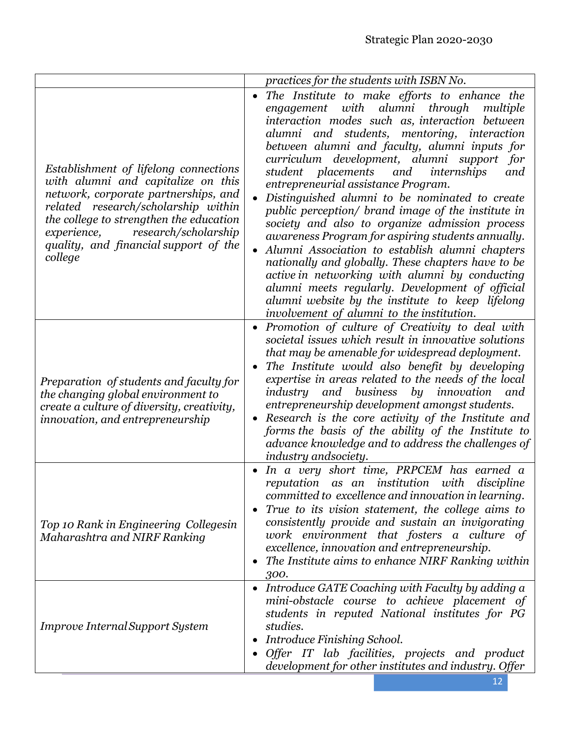|                                                                                                                                                                                                                                                                                                  | practices for the students with ISBN No.                                                                                                                                                                                                                                                                                                                                                                                                                                                                                                                                                                                                                                                                                                                                                                                                                                                                                       |
|--------------------------------------------------------------------------------------------------------------------------------------------------------------------------------------------------------------------------------------------------------------------------------------------------|--------------------------------------------------------------------------------------------------------------------------------------------------------------------------------------------------------------------------------------------------------------------------------------------------------------------------------------------------------------------------------------------------------------------------------------------------------------------------------------------------------------------------------------------------------------------------------------------------------------------------------------------------------------------------------------------------------------------------------------------------------------------------------------------------------------------------------------------------------------------------------------------------------------------------------|
| Establishment of lifelong connections<br>with alumni and capitalize on this<br>network, corporate partnerships, and<br>related research/scholarship within<br>the college to strengthen the education<br>research/scholarship<br>experience,<br>quality, and financial support of the<br>college | The Institute to make efforts to enhance the<br>alumni<br>through<br>engagement<br>with<br>multiple<br>interaction modes such as, interaction between<br>alumni and students, mentoring, interaction<br>between alumni and faculty, alumni inputs for<br>curriculum development, alumni support<br>for<br>student placements<br>and<br>internships<br>and<br>entrepreneurial assistance Program.<br>Distinguished alumni to be nominated to create<br>public perception/ brand image of the institute in<br>society and also to organize admission process<br>awareness Program for aspiring students annually.<br>Alumni Association to establish alumni chapters<br>nationally and globally. These chapters have to be<br>active in networking with alumni by conducting<br>alumni meets regularly. Development of official<br>alumni website by the institute to keep lifelong<br>involvement of alumni to the institution. |
| Preparation of students and faculty for<br>the changing global environment to<br>create a culture of diversity, creativity,<br><i>innovation, and entrepreneurship</i>                                                                                                                           | • Promotion of culture of Creativity to deal with<br>societal issues which result in innovative solutions<br>that may be amenable for widespread deployment.<br>The Institute would also benefit by developing<br>expertise in areas related to the needs of the local<br>by innovation<br>and business<br>industry<br>and<br>entrepreneurship development amongst students.<br>Research is the core activity of the Institute and<br>forms the basis of the ability of the Institute to<br>advance knowledge and to address the challenges of<br>industry andsociety.                                                                                                                                                                                                                                                                                                                                                         |
| Top 10 Rank in Engineering Collegesin<br>Maharashtra and NIRF Ranking                                                                                                                                                                                                                            | In a very short time, PRPCEM has earned a<br>reputation as an institution with<br>discipline<br>committed to excellence and innovation in learning.<br>True to its vision statement, the college aims to<br>consistently provide and sustain an invigorating<br>work environment that fosters a culture of<br>excellence, innovation and entrepreneurship.<br>The Institute aims to enhance NIRF Ranking within<br>$\bullet$<br>300.                                                                                                                                                                                                                                                                                                                                                                                                                                                                                           |
| <b>Improve Internal Support System</b>                                                                                                                                                                                                                                                           | Introduce GATE Coaching with Faculty by adding a<br>mini-obstacle course to achieve placement of<br>students in reputed National institutes for PG<br>studies.<br><b>Introduce Finishing School.</b><br>$\bullet$<br>Offer IT lab facilities, projects and product<br>development for other institutes and industry. Offer                                                                                                                                                                                                                                                                                                                                                                                                                                                                                                                                                                                                     |